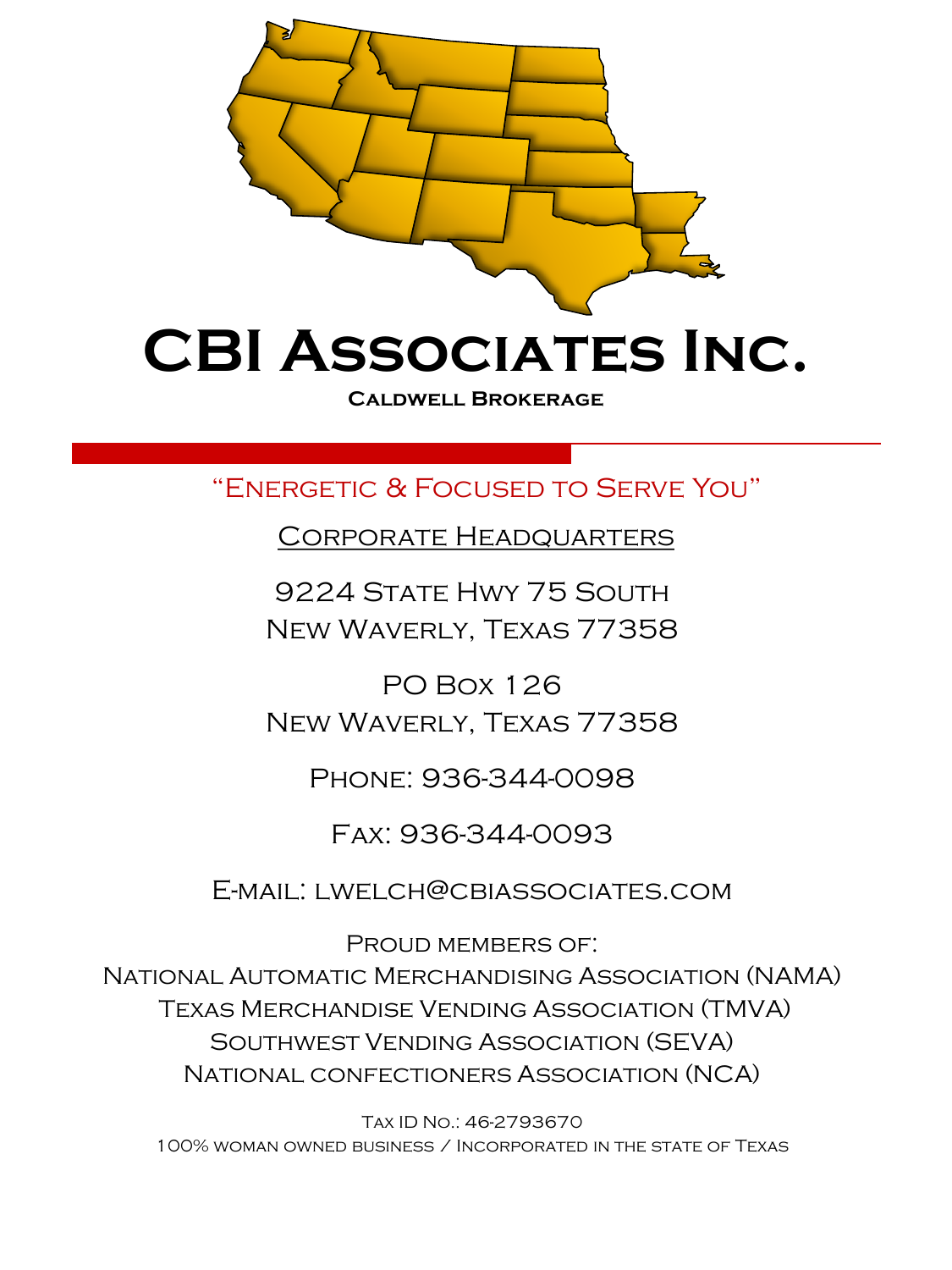

**Caldwell Brokerage**

"Energetic & Focused to Serve You"

Corporate Headquarters

9224 State Hwy 75 South New Waverly, Texas 77358

PO Box 126 New Waverly, Texas 77358

Phone: 936-344-0098

Fax: 936-344-0093

E-mail: lwelch@cbiassociates.com

PROUD MEMBERS OF: National Automatic Merchandising Association (NAMA) Texas Merchandise Vending Association (TMVA) Southwest Vending Association (SEVA) National confectioners Association (NCA)

Tax ID No.: 46-2793670 100% woman owned business / Incorporated in the state of Texas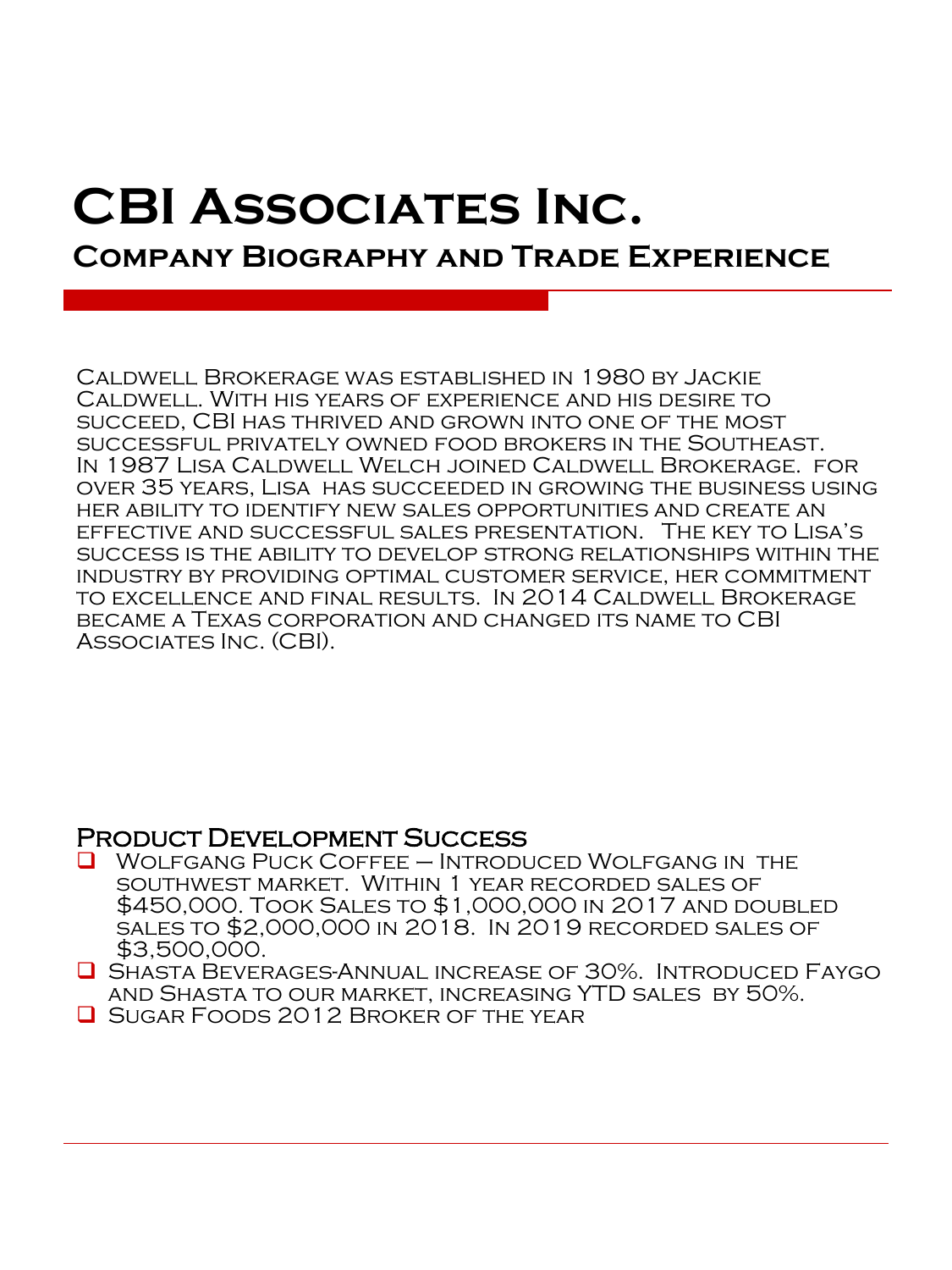# **CBI Associates Inc. Company Biography and Trade Experience**

Caldwell Brokerage was established in 1980 by Jackie Caldwell. With his years of experience and his desire to succeed, CBI has thrived and grown into one of the most successful privately owned food brokers in the Southeast. In 1987 Lisa Caldwell Welch joined Caldwell Brokerage. for over 35 years, Lisa has succeeded in growing the business using her ability to identify new sales opportunities and create an effective and successful sales presentation. The key to Lisa's success is the ability to develop strong relationships within the industry by providing optimal customer service, her commitment to excellence and final results. In 2014 Caldwell Brokerage became a Texas corporation and changed its name to CBI Associates Inc. (CBI).

### Product Development Success

- ❑ Wolfgang Puck Coffee Introduced Wolfgang in the southwest market. Within 1 year recorded sales of \$450,000. Took Sales to \$1,000,000 in 2017 and doubled sales to \$2,000,000 in 2018. In 2019 recorded sales of \$3,500,000.
- ❑ Shasta Beverages-Annual increase of 30%. Introduced Faygo and Shasta to our market, increasing YTD sales by 50%.
- ❑ Sugar Foods 2012 Broker of the year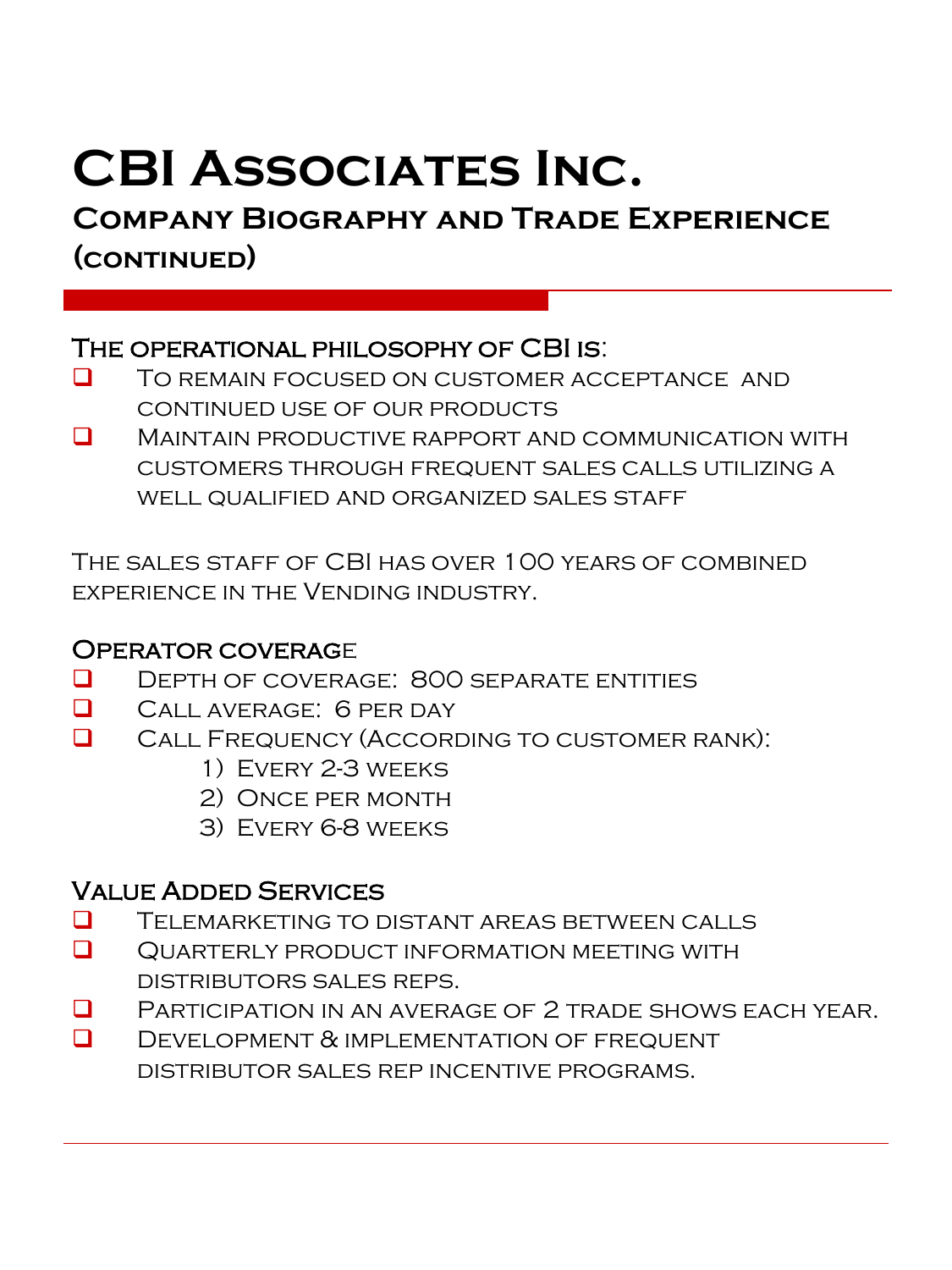# **Company Biography and Trade Experience (continued)**

## The operational philosophy of CBI is:

- ❑ To remain focused on customer acceptance and continued use of our products
- ❑ Maintain productive rapport and communication with customers through frequent sales calls utilizing a well qualified and organized sales staff

The sales staff of CBI has over 100 years of combined experience in the Vending industry.

## Operator coverage

- ❑ Depth of coverage: 800 separate entities
- ❑ Call average: 6 per day
- ❑ Call Frequency (According to customer rank):
	- 1) Every 2-3 weeks
	- 2) Once per month
	- 3) Every 6-8 weeks

## Value Added Services

- ❑ Telemarketing to distant areas between calls
- ❑ Quarterly product information meeting with distributors sales reps.
- ❑ Participation in an average of 2 trade shows each year.
- **Q** DEVELOPMENT & IMPLEMENTATION OF FREQUENT distributor sales rep incentive programs.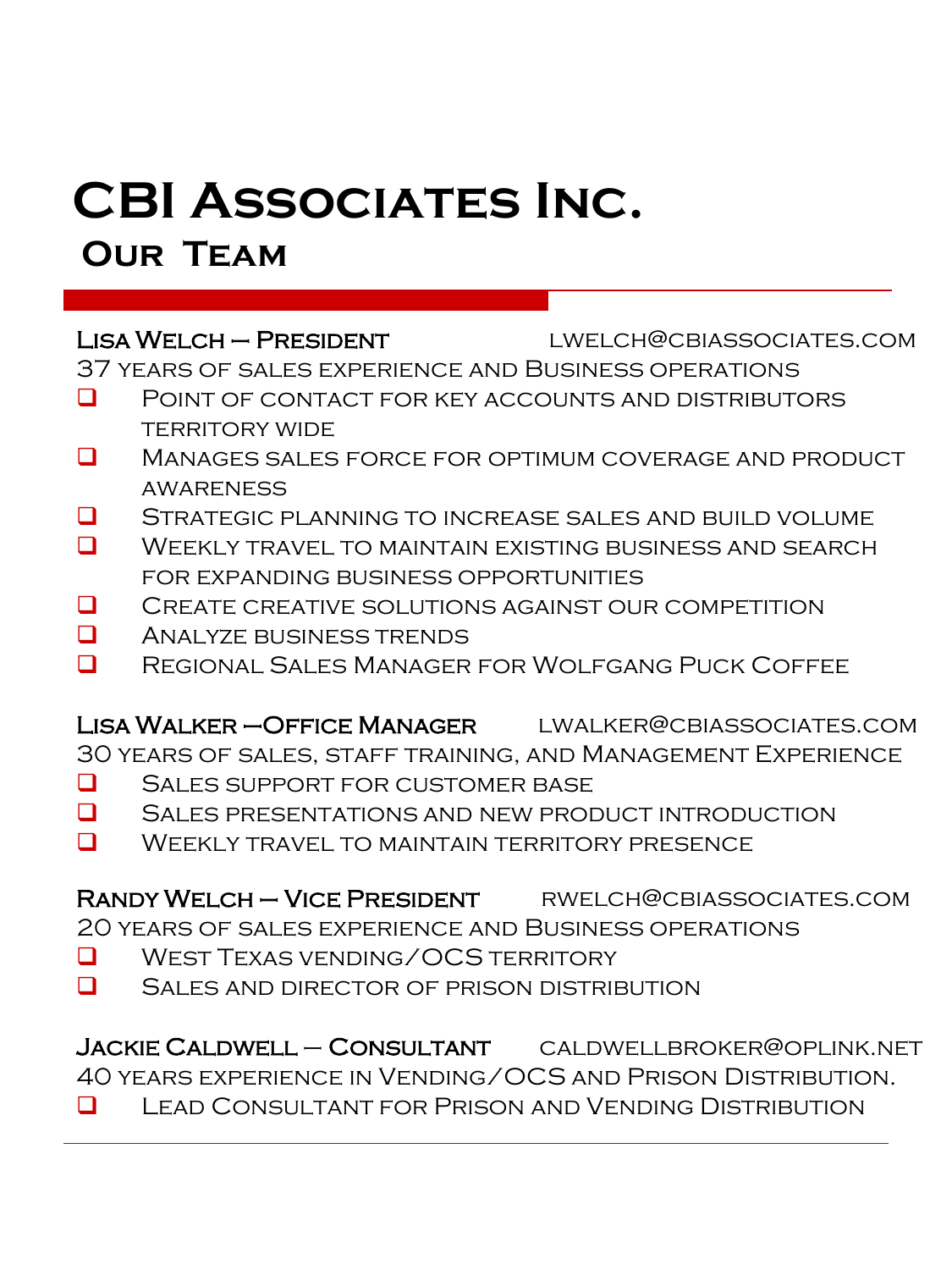# **Our Team**

LISA WELCH – PRESIDENT LWELCH@CBIASSOCIATES.COM

37 years of sales experience and Business operations

- ❑ Point of contact for key accounts and distributors **TERRITORY WIDE**
- ❑ Manages sales force for optimum coverage and product awareness
- ❑ Strategic planning to increase sales and build volume
- ❑ Weekly travel to maintain existing business and search for expanding business opportunities
- ❑ Create creative solutions against our competition
- ❑ Analyze business trends
- ❑ Regional Sales Manager for Wolfgang Puck Coffee

Lisa Walker –Office Manager lwalker@cbiassociates.com

30 years of sales, staff training, and Management Experience

- ❑ Sales support for customer base
- ❑ Sales presentations and new product introduction
- ❑ Weekly travel to maintain territory presence

RANDY WELCH – VICE PRESIDENT RWELCH@CBIASSOCIATES.COM 20 years of sales experience and Business operations

- ❑ West Texas vending/OCS territory
- ❑ Sales and director of prison distribution

Jackie Caldwell – Consultant caldwellbroker@oplink.net 40 years experience in Vending/OCS and Prison Distribution. ❑ Lead Consultant for Prison and Vending Distribution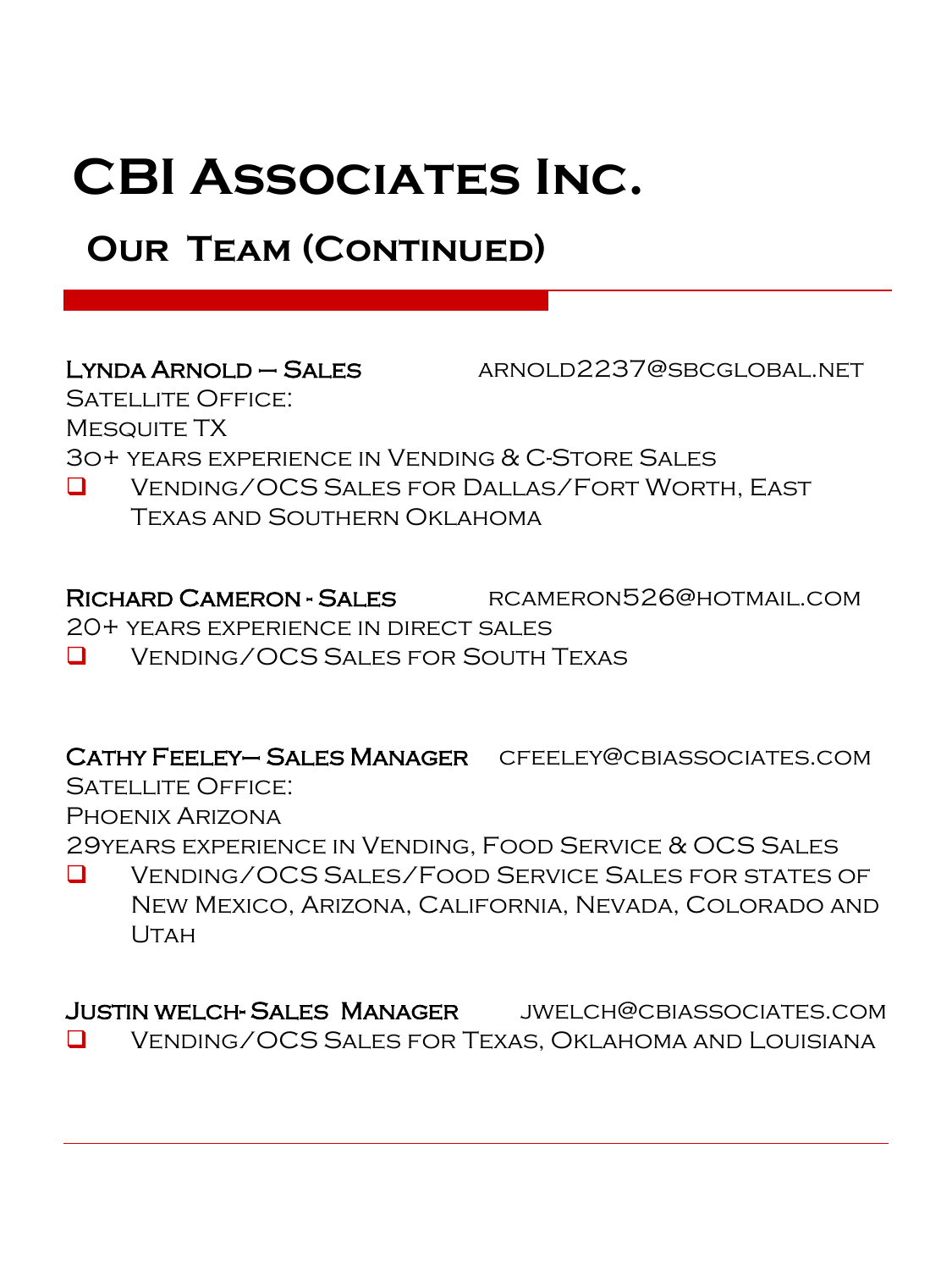# **OUR TEAM (CONTINUED)**

Lynda Arnold – Sales arnold2237@sbcglobal.net

SATELLITE OFFICE: MESQUITE TX

3o+ years experience in Vending & C-Store Sales

❑ Vending/OCS Sales for Dallas/Fort Worth, East Texas and Southern Oklahoma

Richard Cameron - Sales rcameron526@hotmail.com

20+ years experience in direct sales

❑ Vending/OCS Sales for South Texas

Cathy Feeley– Sales Manager cfeeley@cbiassociates.com SATELLITE OFFICE:

Phoenix Arizona

29years experience in Vending, Food Service & OCS Sales

❑ Vending/OCS Sales/Food Service Sales for states of New Mexico, Arizona, California, Nevada, Colorado and Utah

Justin welch- Sales Manager jwelch@cbiassociates.com ❑ Vending/OCS Sales for Texas, Oklahoma and Louisiana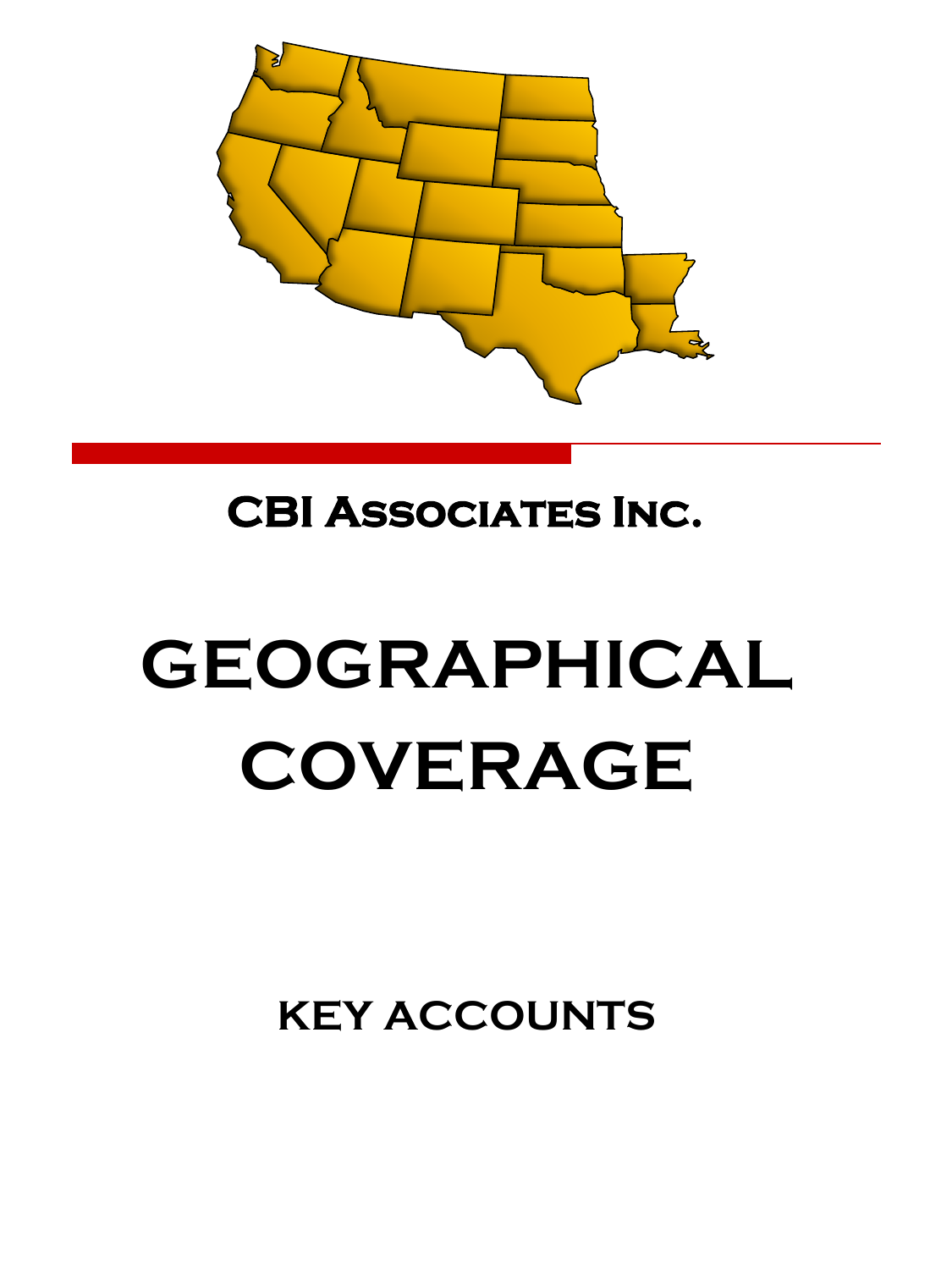

# **GEOGRAPHICAL COVERAGE**

**KEY ACCOUNTS**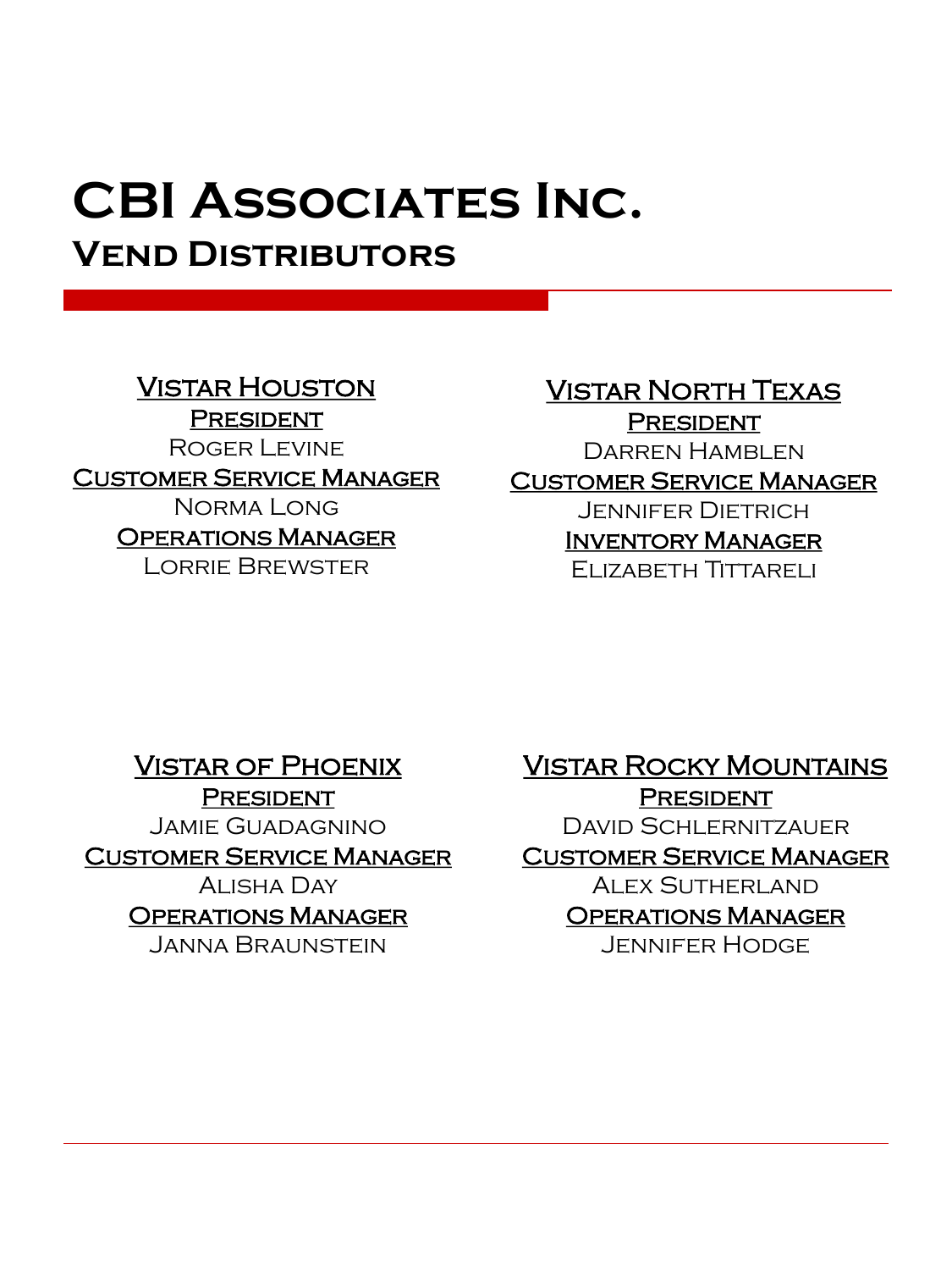**Vend Distributors** 

## Vistar Houston

**PRESIDENT** Roger Levine Customer Service Manager Norma Long Operations Manager Lorrie Brewster

# Vistar North Texas

**PRESIDENT** Darren Hamblen

### Customer Service Manager

Jennifer Dietrich Inventory Manager Elizabeth Tittareli

Vistar of Phoenix **PRESIDENT** Jamie Guadagnino Customer Service Manager Alisha Day Operations Manager Janna Braunstein

Vistar Rocky Mountains **PRESIDENT** David Schlernitzauer Customer Service Manager Alex Sutherland Operations Manager Jennifer Hodge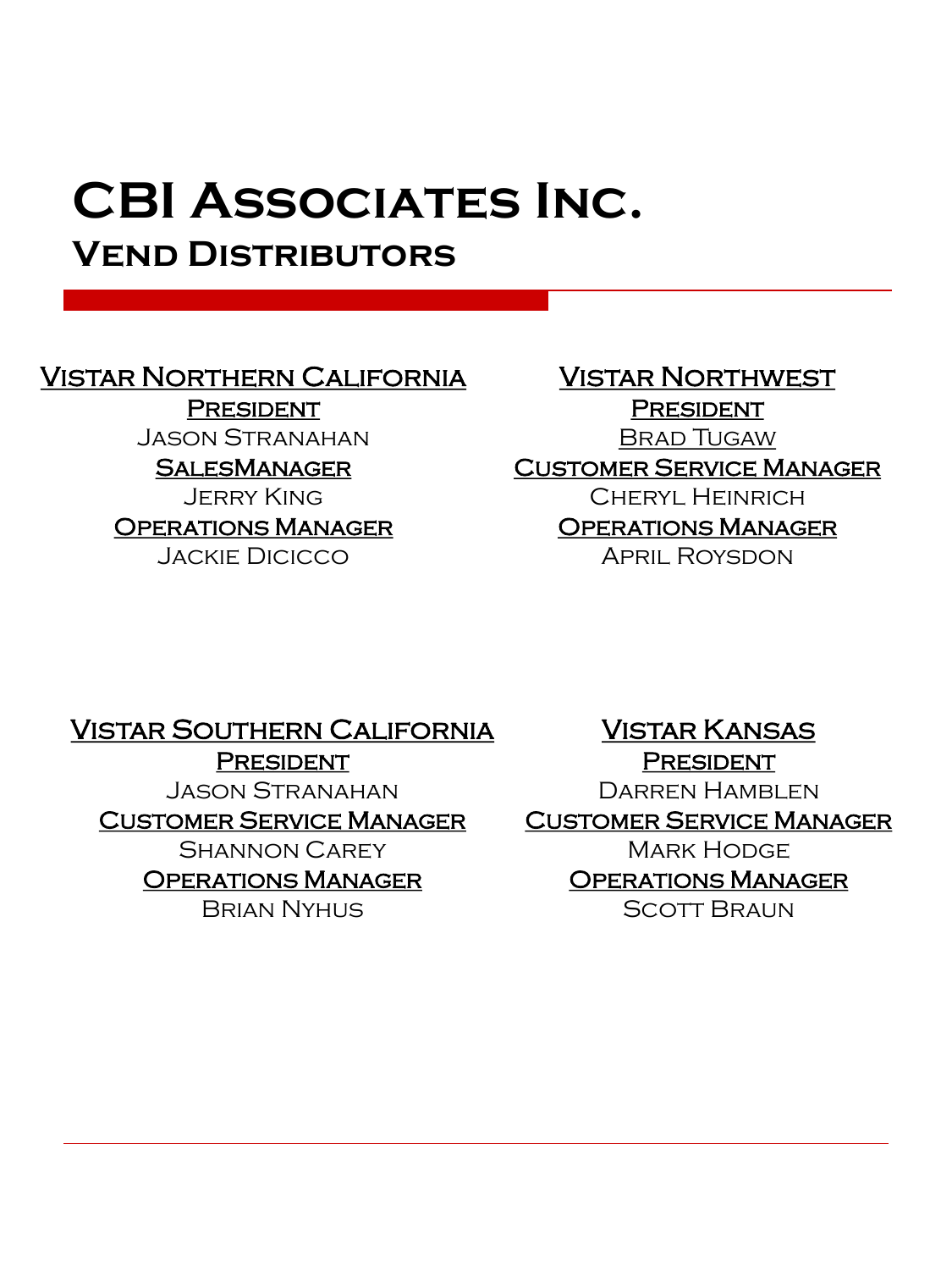# **Vend Distributors**

## Vistar Northern California

**PRESIDENT** Jason Stranahan

**SALESMANAGER** 

Jerry King Operations Manager Jackie Dicicco

Vistar Northwest **PRESIDENT** Brad Tugaw Customer Service Manager Cheryl Heinrich Operations Manager April Roysdon

Vistar Southern California

**PRESIDENT** Jason Stranahan Customer Service Manager Shannon Carey Operations Manager Brian Nyhus

Vistar Kansas **PRESIDENT** Darren Hamblen Customer Service Manager Mark Hodge Operations Manager Scott Braun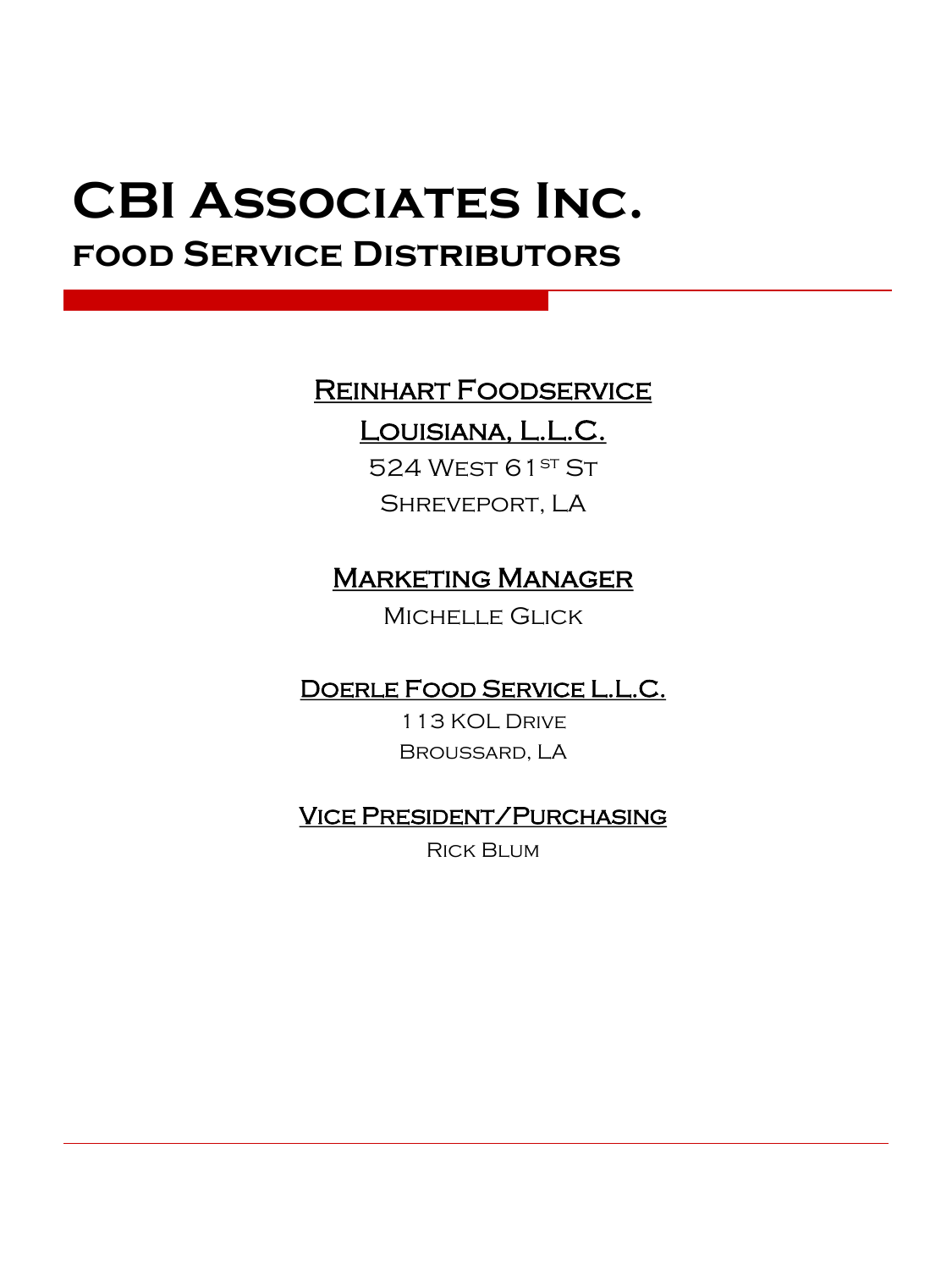# **CBI Associates Inc. food Service Distributors**

## Reinhart Foodservice

## Louisiana, L.L.C.

524 WEST 61ST ST Shreveport, LA

## **MARKETING MANAGER**

Michelle Glick

Doerle Food Service L.L.C.

113 KOL Drive Broussard, LA

## Vice President/Purchasing

Rick Blum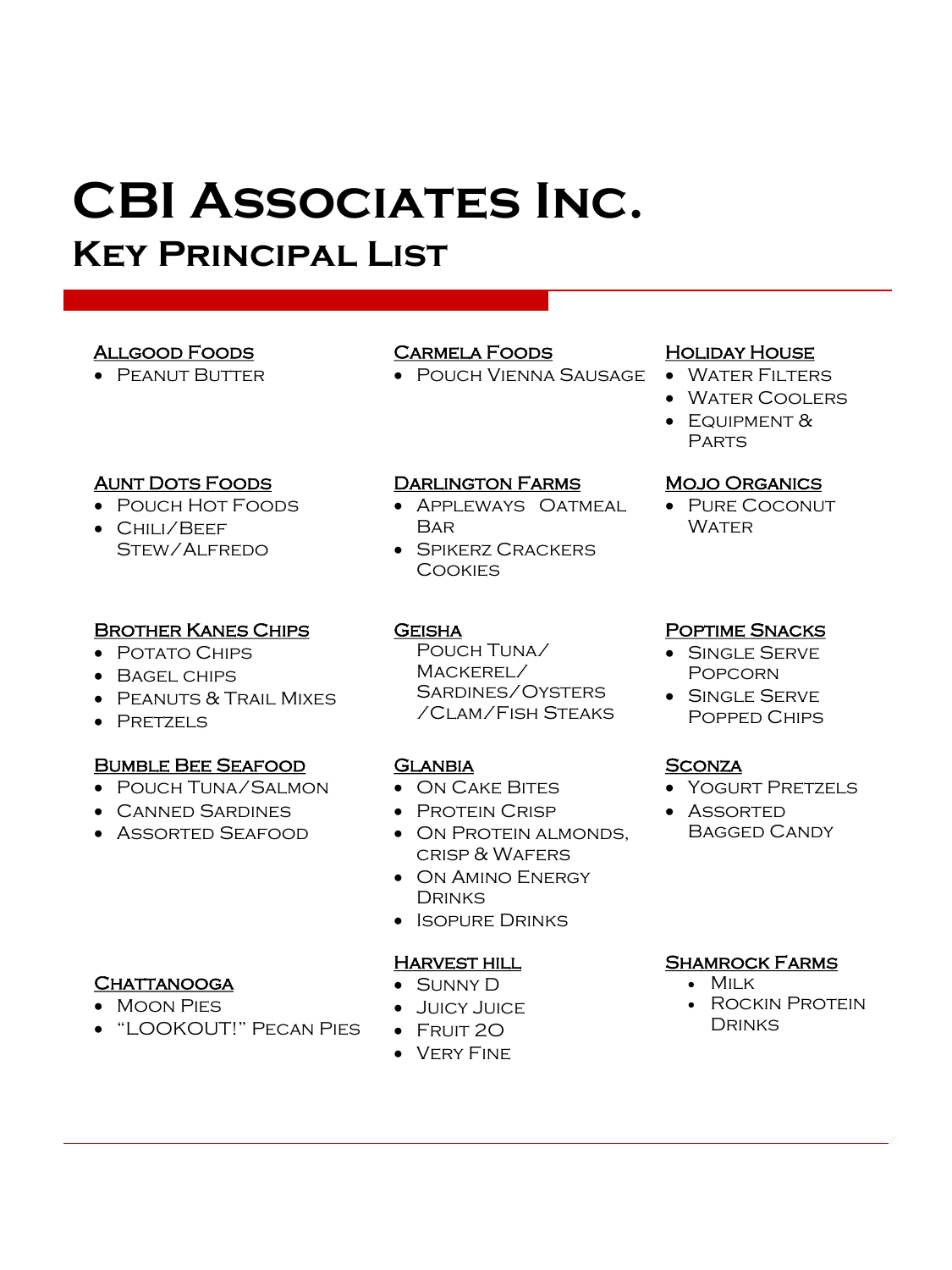# **Key Principal List**

### Allgood Foods

• Peanut Butter

### Aunt Dots Foods

- Pouch Hot Foods
- Chili/Beef Stew/Alfredo

#### Brother Kanes Chips

- Potato Chips
- Bagel chips
- Peanuts & Trail Mixes
- Pretzels

#### Bumble Bee Seafood

- Pouch Tuna/Salmon
- Canned Sardines
- Assorted Seafood

### Carmela Foods

• Pouch Vienna Sausage

#### Darlington Farms

- Appleways Oatmeal Bar
- Spikerz Crackers **COOKIES**

#### **GEISHA**

Pouch Tuna/ Mackerel/ Sardines/Oysters

#### **GLANBIA**

- On Cake Bites
- Protein Crisp
- On Protein almonds, crisp & Wafers
- On Amino Energy **DRINKS**
- Isopure Drinks

#### Harvest hill

- Sunny D
- Juicy Juice
- $\bullet~$  Fruit 20
- Very Fine

#### **HOLIDAY HOUSE**

- Water Filters
- Water Coolers
- $\bullet~$  Equipment  $\&$ **PARTS**

#### Mojo Organics

• Pure Coconut Water

#### Poptime Snacks

- Single Serve **POPCORN**
- Single Serve Popped Chips

#### **SCONZA**

- Yogurt Pretzels
- Assorted Bagged Candy

#### Shamrock Farms

- Milk
- Rockin Protein **DRINKS**

#### **CHATTANOOGA**

- Moon Pies
- "LOOKOUT!" Pecan Pies

/Clam/Fish Steaks

- -
-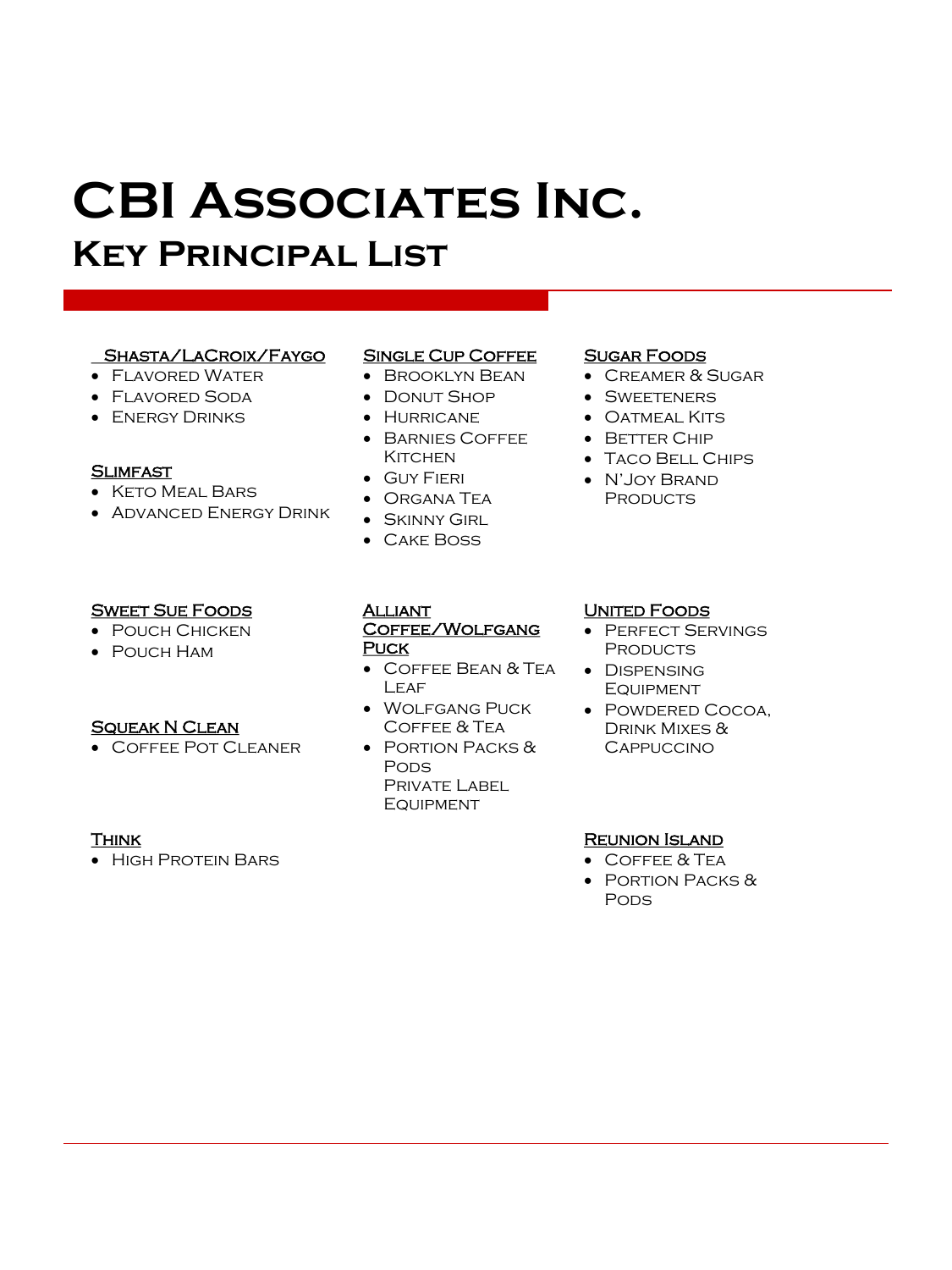# **CBI Associates Inc. Key Principal List**

#### Shasta/LaCroix/Faygo

- Flavored Water
- Flavored Soda
- Energy Drinks

#### **SLIMFAST**

- Keto Meal Bars
- Advanced Energy Drink

#### **SWEET SUE FOODS**

- Pouch Chicken
- Pouch Ham

#### Squeak N Clean

• Coffee Pot Cleaner

#### **THINK**

• High Protein Bars

#### SINGLE CUP COFFEE

- Brooklyn Bean
- Donut Shop
- Hurricane
- Barnies Coffee KITCHEN

Coffee/Wolfgang

• Wolfgang Puck Coffee & Tea • Portion Packs &

> PRIVATE LABEL **EQUIPMENT**

• Coffee Bean & Tea

- Guy Fieri
- Organa Tea
- Skinny Girl
- Cake Boss

**ALLIANT** 

**LEAF** 

**PODS** 

**PUCK** 

#### Sugar Foods

- Creamer & Sugar
- Sweeteners
- Oatmeal Kits
- Better Chip
- Taco Bell Chips
- N'Joy Brand **PRODUCTS**

#### UNITED FOODS

- • Perfect Servings **PRODUCTS**
- Dispensing **EQUIPMENT**
- Powdered Cocoa, Drink Mixes & **CAPPUCCINO**

#### Reunion Island

- Coffee & Tea
- Portion Packs & **PODS**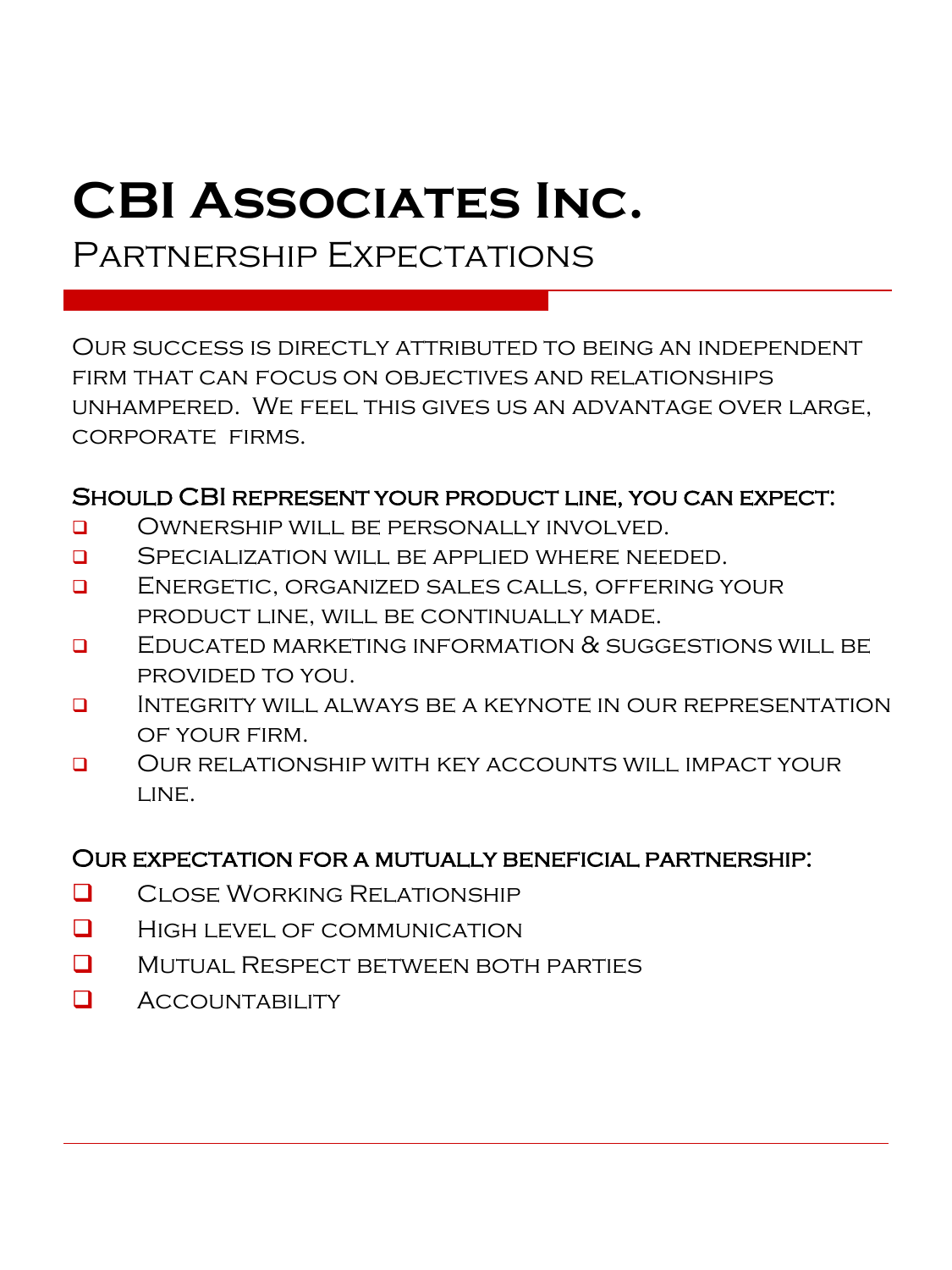Partnership Expectations

Our success is directly attributed to being an independent firm that can focus on objectives and relationships unhampered. We feel this gives us an advantage over large, corporate firms.

### Should CBI represent your product line, you can expect:

- ❑ Ownership will be personally involved.
- **Q** SPECIALIZATION WILL BE APPLIED WHERE NEEDED.
- ❑ Energetic, organized sales calls, offering your product line, will be continually made.
- ❑ Educated marketing information & suggestions will be provided to you.
- ❑ Integrity will always be a keynote in our representation of your firm.
- ❑ Our relationship with key accounts will impact your LINE.

### Our expectation for a mutually beneficial partnership:

- ❑ Close Working Relationship
- ❑ High level of communication
- ❑ Mutual Respect between both parties
- ❑ Accountability